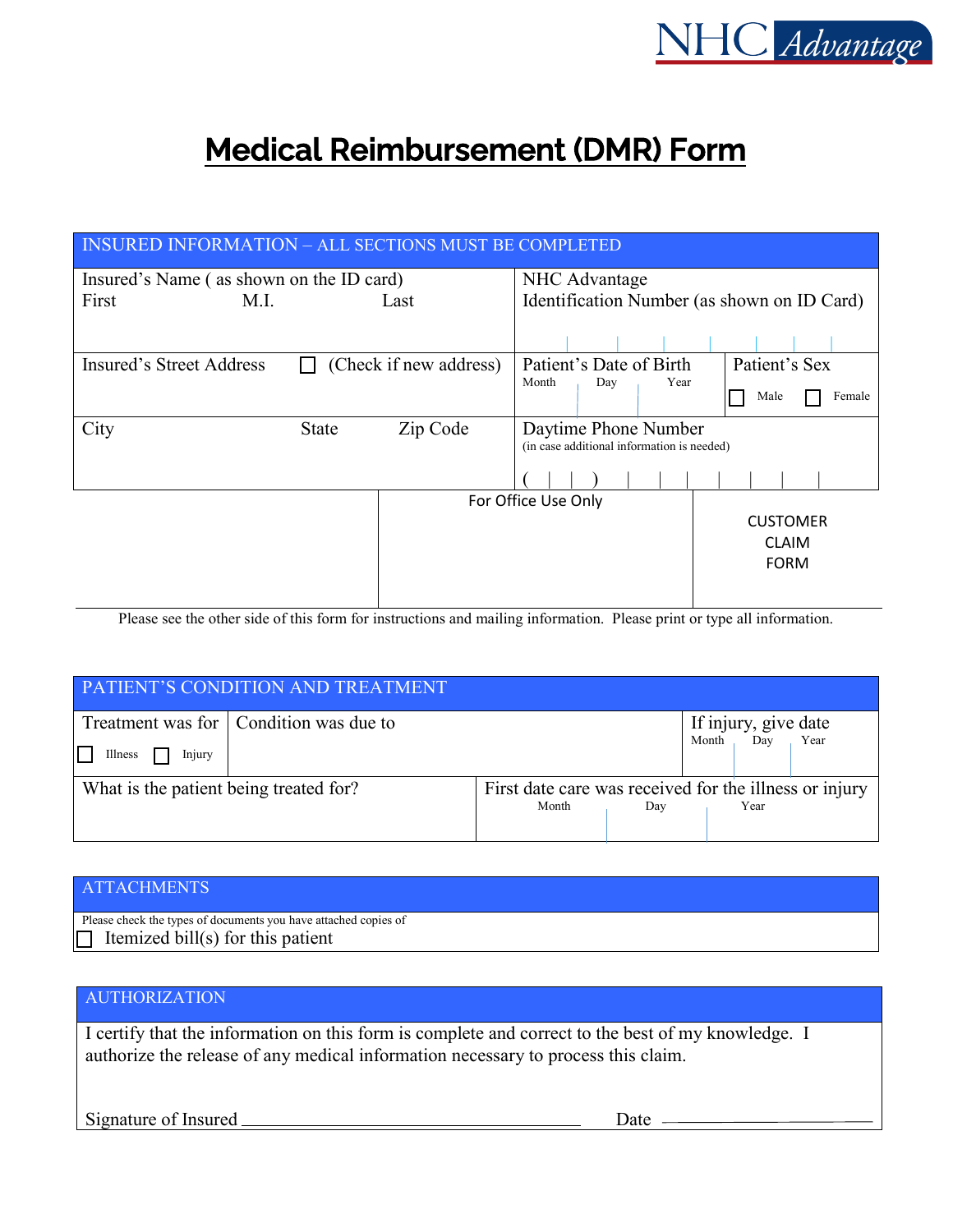

# **Medical Reimbursement (DMR) Form**

| INSURED INFORMATION – ALL SECTIONS MUST BE COMPLETED |              |                        |                                                                    |     |                 |                |  |  |  |  |  |
|------------------------------------------------------|--------------|------------------------|--------------------------------------------------------------------|-----|-----------------|----------------|--|--|--|--|--|
| Insured's Name (as shown on the ID card)             |              |                        | NHC Advantage                                                      |     |                 |                |  |  |  |  |  |
| First<br>M.L                                         |              | Last                   | Identification Number (as shown on ID Card)                        |     |                 |                |  |  |  |  |  |
|                                                      |              |                        |                                                                    |     |                 |                |  |  |  |  |  |
| <b>Insured's Street Address</b>                      |              | (Check if new address) | Patient's Date of Birth                                            |     |                 | Patient's Sex  |  |  |  |  |  |
|                                                      |              |                        | Month                                                              | Day | Year            | Male<br>Female |  |  |  |  |  |
| City                                                 | <b>State</b> | Zip Code               | Daytime Phone Number<br>(in case additional information is needed) |     |                 |                |  |  |  |  |  |
|                                                      |              |                        |                                                                    |     |                 |                |  |  |  |  |  |
|                                                      |              | For Office Use Only    |                                                                    |     |                 |                |  |  |  |  |  |
|                                                      |              |                        |                                                                    |     | <b>CUSTOMER</b> |                |  |  |  |  |  |
|                                                      |              |                        |                                                                    |     |                 | <b>CLAIM</b>   |  |  |  |  |  |
|                                                      |              |                        |                                                                    |     |                 | <b>FORM</b>    |  |  |  |  |  |
|                                                      |              |                        |                                                                    |     |                 |                |  |  |  |  |  |

Please see the other side of this form for instructions and mailing information. Please print or type all information.

| <b>PATIENT'S CONDITION AND TREATMENT</b> |                                          |       |                                                                |       |                             |      |  |  |  |  |
|------------------------------------------|------------------------------------------|-------|----------------------------------------------------------------|-------|-----------------------------|------|--|--|--|--|
| $\mathbf{L}$<br>Illness<br>Injury        | Treatment was for   Condition was due to |       |                                                                | Month | If injury, give date<br>Dav | Year |  |  |  |  |
| What is the patient being treated for?   |                                          | Month | First date care was received for the illness or injury<br>Year |       |                             |      |  |  |  |  |

#### **ATTACHMENTS**

Please check the types of documents you have attached copies of T Itemized bill(s) for this patient

 $\overline{a}$ 

### AUTHORIZATION

I certify that the information on this form is complete and correct to the best of my knowledge. I authorize the release of any medical information necessary to process this claim.

Signature of Insured Date